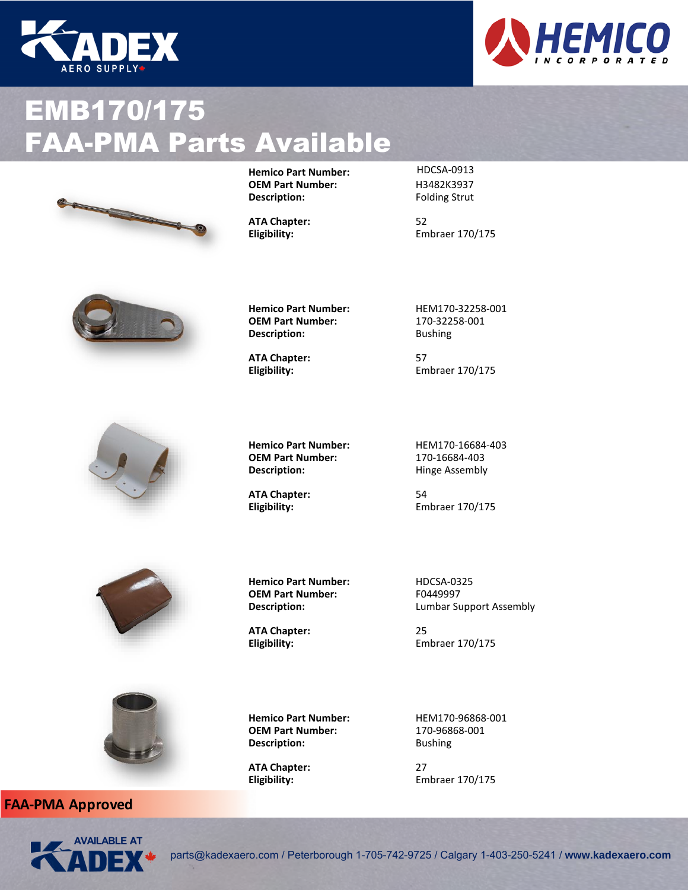







**Hemico Part Number:** HDCSA-0913<br>**OEM Part Number:** H3482K3937

**Folding Strut** 

Eligibility: Embraer 170/175





**Hemico Part Number:** HEM170-32258-001<br>**OEM Part Number:** 170-32258-001 **OEM Part Number: Description:** Bushing

**ATA Chapter:** 57

Eligibility: Embraer 170/175

**Hemico Part Number:** HEM170-16684-403<br>**OEM Part Number:** 170-16684-403 **Hinge Assembly** 

**ATA Chapter:** 54 Eligibility: Embraer 170/175



**Hemico Part Number:** HDCSA-0325<br> **OEM Part Number:** F0449997 **OEM Part Number:**<br>Description:

**OEM Part Number:**<br>Description:

**ATA Chapter:** 25

**Description:** 

**Lumbar Support Assembly** 

Eligibility: Embraer 170/175



**FAA-PMA Approved**



parts@kadexaero.com / Peterborough 1-705-742-9725 / Calgary 1-403-250-5241 / **www.kadexaero.com**

**Hemico Part Number:** HEM170-96868-001<br>**OEM Part Number:** 170-96868-001

Eligibility: Embraer 170/175

**OEM Part Number:** 170-968<br> **Description:** Bushing

**ATA Chapter:** 27